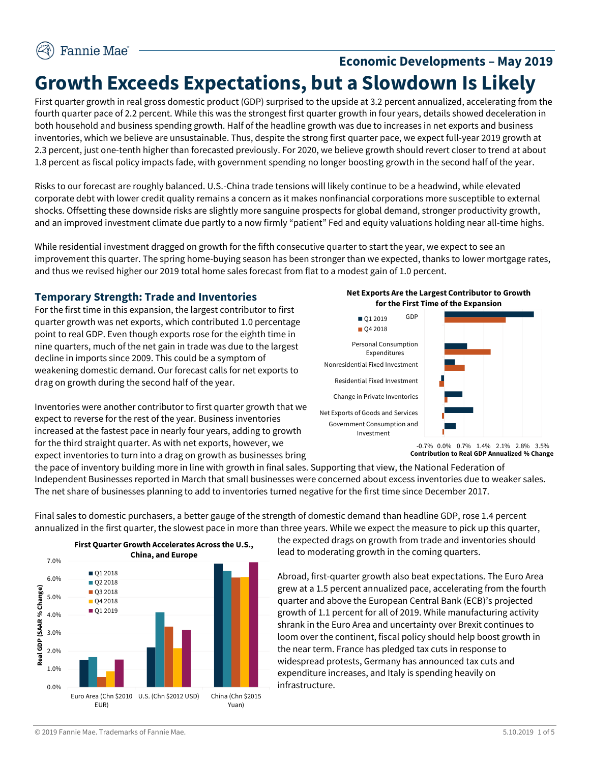# **Economic Developments – May 2019 Growth Exceeds Expectations, but a Slowdown Is Likely**

First quarter growth in real gross domestic product (GDP) surprised to the upside at 3.2 percent annualized, accelerating from the fourth quarter pace of 2.2 percent. While this was the strongest first quarter growth in four years, details showed deceleration in both household and business spending growth. Half of the headline growth was due to increases in net exports and business inventories, which we believe are unsustainable. Thus, despite the strong first quarter pace, we expect full-year 2019 growth at 2.3 percent, just one-tenth higher than forecasted previously. For 2020, we believe growth should revert closer to trend at about 1.8 percent as fiscal policy impacts fade, with government spending no longer boosting growth in the second half of the year.

Risks to our forecast are roughly balanced. U.S.-China trade tensions will likely continue to be a headwind, while elevated corporate debt with lower credit quality remains a concern as it makes nonfinancial corporations more susceptible to external shocks. Offsetting these downside risks are slightly more sanguine prospects for global demand, stronger productivity growth, and an improved investment climate due partly to a now firmly "patient" Fed and equity valuations holding near all-time highs.

While residential investment dragged on growth for the fifth consecutive quarter to start the year, we expect to see an improvement this quarter. The spring home-buying season has been stronger than we expected, thanks to lower mortgage rates, and thus we revised higher our 2019 total home sales forecast from flat to a modest gain of 1.0 percent.

### **Temporary Strength: Trade and Inventories**

For the first time in this expansion, the largest contributor to first quarter growth was net exports, which contributed 1.0 percentage point to real GDP. Even though exports rose for the eighth time in nine quarters, much of the net gain in trade was due to the largest decline in imports since 2009. This could be a symptom of weakening domestic demand. Our forecast calls for net exports to drag on growth during the second half of the year.







**Contribution to Real GDP Annualized % Change**

the pace of inventory building more in line with growth in final sales. Supporting that view, the National Federation of Independent Businesses reported in March that small businesses were concerned about excess inventories due to weaker sales. The net share of businesses planning to add to inventories turned negative for the first time since December 2017.

Final sales to domestic purchasers, a better gauge of the strength of domestic demand than headline GDP, rose 1.4 percent annualized in the first quarter, the slowest pace in more than three years. While we expect the measure to pick up this quarter,



the expected drags on growth from trade and inventories should lead to moderating growth in the coming quarters.

Abroad, first-quarter growth also beat expectations. The Euro Area grew at a 1.5 percent annualized pace, accelerating from the fourth quarter and above the European Central Bank (ECB)'s projected growth of 1.1 percent for all of 2019. While manufacturing activity shrank in the Euro Area and uncertainty over Brexit continues to loom over the continent, fiscal policy should help boost growth in the near term. France has pledged tax cuts in response to widespread protests, Germany has announced tax cuts and expenditure increases, and Italy is spending heavily on infrastructure.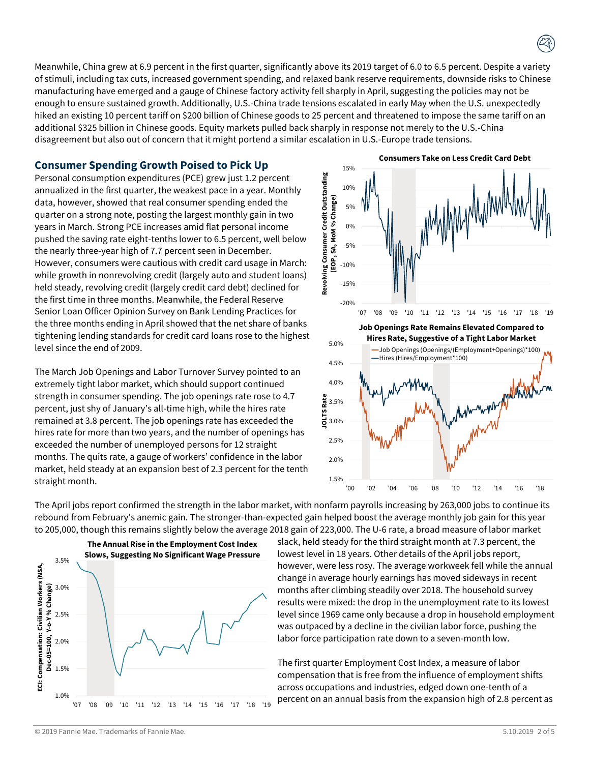Meanwhile, China grew at 6.9 percent in the first quarter, significantly above its 2019 target of 6.0 to 6.5 percent. Despite a variety of stimuli, including tax cuts, increased government spending, and relaxed bank reserve requirements, downside risks to Chinese manufacturing have emerged and a gauge of Chinese factory activity fell sharply in April, suggesting the policies may not be enough to ensure sustained growth. Additionally, U.S.-China trade tensions escalated in early May when the U.S. unexpectedly hiked an existing 10 percent tariff on \$200 billion of Chinese goods to 25 percent and threatened to impose the same tariff on an additional \$325 billion in Chinese goods. Equity markets pulled back sharply in response not merely to the U.S.-China disagreement but also out of concern that it might portend a similar escalation in U.S.-Europe trade tensions.

## **Consumer Spending Growth Poised to Pick Up**

Personal consumption expenditures (PCE) grew just 1.2 percent annualized in the first quarter, the weakest pace in a year. Monthly data, however, showed that real consumer spending ended the quarter on a strong note, posting the largest monthly gain in two years in March. Strong PCE increases amid flat personal income pushed the saving rate eight-tenths lower to 6.5 percent, well below the nearly three-year high of 7.7 percent seen in December. However, consumers were cautious with credit card usage in March: while growth in nonrevolving credit (largely auto and student loans) held steady, revolving credit (largely credit card debt) declined for the first time in three months. Meanwhile, the Federal Reserve Senior Loan Officer Opinion Survey on Bank Lending Practices for the three months ending in April showed that the net share of banks tightening lending standards for credit card loans rose to the highest level since the end of 2009.

The March Job Openings and Labor Turnover Survey pointed to an extremely tight labor market, which should support continued strength in consumer spending. The job openings rate rose to 4.7 percent, just shy of January's all-time high, while the hires rate remained at 3.8 percent. The job openings rate has exceeded the hires rate for more than two years, and the number of openings has exceeded the number of unemployed persons for 12 straight months. The quits rate, a gauge of workers' confidence in the labor market, held steady at an expansion best of 2.3 percent for the tenth straight month.



The April jobs report confirmed the strength in the labor market, with nonfarm payrolls increasing by 263,000 jobs to continue its rebound from February's anemic gain. The stronger-than-expected gain helped boost the average monthly job gain for this year to 205,000, though this remains slightly below the average 2018 gain of 223,000. The U-6 rate, a broad measure of labor market



slack, held steady for the third straight month at 7.3 percent, the lowest level in 18 years. Other details of the April jobs report, however, were less rosy. The average workweek fell while the annual change in average hourly earnings has moved sideways in recent months after climbing steadily over 2018. The household survey results were mixed: the drop in the unemployment rate to its lowest level since 1969 came only because a drop in household employment was outpaced by a decline in the civilian labor force, pushing the labor force participation rate down to a seven-month low.

The first quarter Employment Cost Index, a measure of labor compensation that is free from the influence of employment shifts across occupations and industries, edged down one-tenth of a percent on an annual basis from the expansion high of 2.8 percent as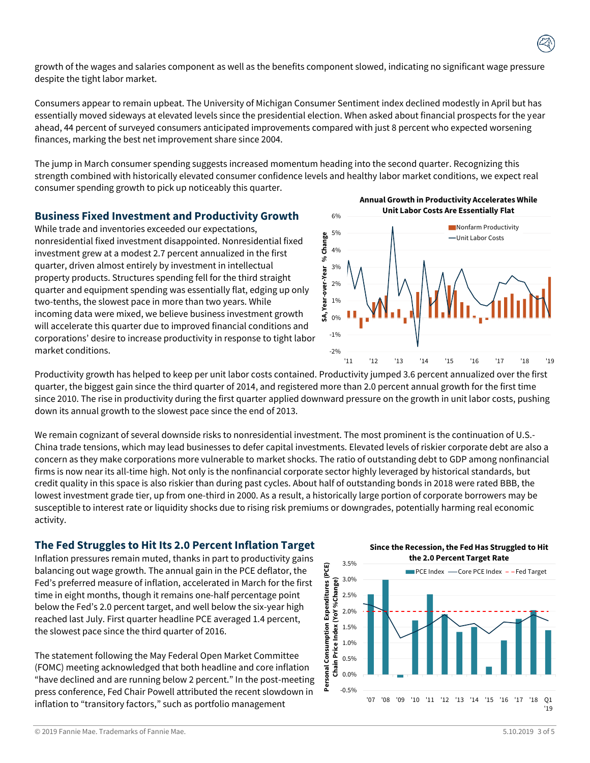growth of the wages and salaries component as well as the benefits component slowed, indicating no significant wage pressure despite the tight labor market.

Consumers appear to remain upbeat. The University of Michigan Consumer Sentiment index declined modestly in April but has essentially moved sideways at elevated levels since the presidential election. When asked about financial prospects for the year ahead, 44 percent of surveyed consumers anticipated improvements compared with just 8 percent who expected worsening finances, marking the best net improvement share since 2004.

The jump in March consumer spending suggests increased momentum heading into the second quarter. Recognizing this strength combined with historically elevated consumer confidence levels and healthy labor market conditions, we expect real consumer spending growth to pick up noticeably this quarter.

#### **Business Fixed Investment and Productivity Growth**

While trade and inventories exceeded our expectations, nonresidential fixed investment disappointed. Nonresidential fixed investment grew at a modest 2.7 percent annualized in the first quarter, driven almost entirely by investment in intellectual property products. Structures spending fell for the third straight quarter and equipment spending was essentially flat, edging up only two-tenths, the slowest pace in more than two years. While incoming data were mixed, we believe business investment growth will accelerate this quarter due to improved financial conditions and corporations' desire to increase productivity in response to tight labor market conditions.

**Annual Growth in Productivity Accelerates While Unit Labor Costs Are Essentially Flat**



Productivity growth has helped to keep per unit labor costs contained. Productivity jumped 3.6 percent annualized over the first quarter, the biggest gain since the third quarter of 2014, and registered more than 2.0 percent annual growth for the first time since 2010. The rise in productivity during the first quarter applied downward pressure on the growth in unit labor costs, pushing down its annual growth to the slowest pace since the end of 2013.

We remain cognizant of several downside risks to nonresidential investment. The most prominent is the continuation of U.S.- China trade tensions, which may lead businesses to defer capital investments. Elevated levels of riskier corporate debt are also a concern as they make corporations more vulnerable to market shocks. The ratio of outstanding debt to GDP among nonfinancial firms is now near its all-time high. Not only is the nonfinancial corporate sector highly leveraged by historical standards, but credit quality in this space is also riskier than during past cycles. About half of outstanding bonds in 2018 were rated BBB, the lowest investment grade tier, up from one-third in 2000. As a result, a historically large portion of corporate borrowers may be susceptible to interest rate or liquidity shocks due to rising risk premiums or downgrades, potentially harming real economic activity.

### **The Fed Struggles to Hit Its 2.0 Percent Inflation Target**

Inflation pressures remain muted, thanks in part to productivity gains balancing out wage growth. The annual gain in the PCE deflator, the Fed's preferred measure of inflation, accelerated in March for the first time in eight months, though it remains one-half percentage point below the Fed's 2.0 percent target, and well below the six-year high reached last July. First quarter headline PCE averaged 1.4 percent, the slowest pace since the third quarter of 2016.

The statement following the May Federal Open Market Committee (FOMC) meeting acknowledged that both headline and core inflation "have declined and are running below 2 percent." In the post-meeting press conference, Fed Chair Powell attributed the recent slowdown in inflation to "transitory factors," such as portfolio management

**Since the Recession, the Fed Has Struggled to Hit the 2.0 Percent Target Rate**



© 2019 Fannie Mae. Trademarks of Fannie Mae. 5.10.2019 3 of 5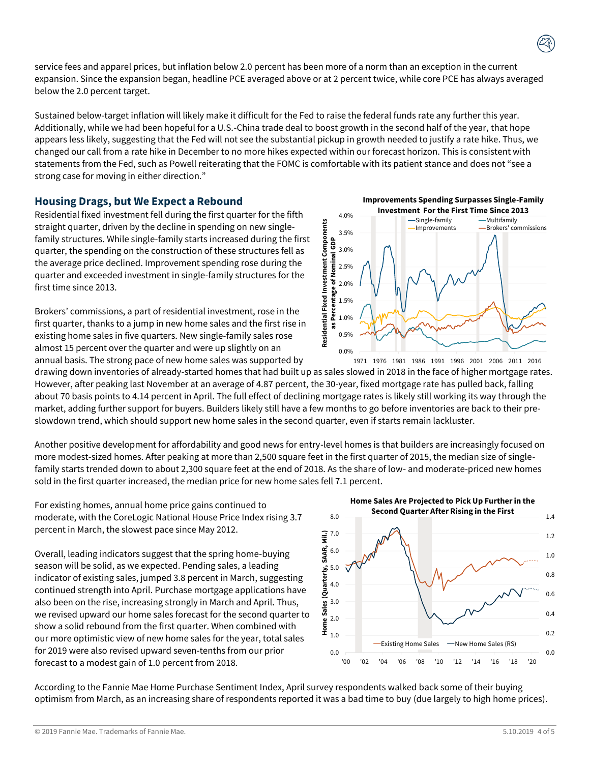service fees and apparel prices, but inflation below 2.0 percent has been more of a norm than an exception in the current expansion. Since the expansion began, headline PCE averaged above or at 2 percent twice, while core PCE has always averaged below the 2.0 percent target.

Sustained below-target inflation will likely make it difficult for the Fed to raise the federal funds rate any further this year. Additionally, while we had been hopeful for a U.S.-China trade deal to boost growth in the second half of the year, that hope appears less likely, suggesting that the Fed will not see the substantial pickup in growth needed to justify a rate hike. Thus, we changed our call from a rate hike in December to no more hikes expected within our forecast horizon. This is consistent with statements from the Fed, such as Powell reiterating that the FOMC is comfortable with its patient stance and does not "see a strong case for moving in either direction."

# **Housing Drags, but We Expect a Rebound**

Residential fixed investment fell during the first quarter for the fifth straight quarter, driven by the decline in spending on new singlefamily structures. While single-family starts increased during the first quarter, the spending on the construction of these structures fell as the average price declined. Improvement spending rose during the quarter and exceeded investment in single-family structures for the first time since 2013.

Brokers' commissions, a part of residential investment, rose in the first quarter, thanks to a jump in new home sales and the first rise in existing home sales in five quarters. New single-family sales rose almost 15 percent over the quarter and were up slightly on an annual basis. The strong pace of new home sales was supported by

drawing down inventories of already-started homes that had built up as sales slowed in 2018 in the face of higher mortgage rates. However, after peaking last November at an average of 4.87 percent, the 30-year, fixed mortgage rate has pulled back, falling about 70 basis points to 4.14 percent in April. The full effect of declining mortgage rates is likely still working its way through the market, adding further support for buyers. Builders likely still have a few months to go before inventories are back to their preslowdown trend, which should support new home sales in the second quarter, even if starts remain lackluster.

Another positive development for affordability and good news for entry-level homes is that builders are increasingly focused on more modest-sized homes. After peaking at more than 2,500 square feet in the first quarter of 2015, the median size of singlefamily starts trended down to about 2,300 square feet at the end of 2018. As the share of low- and moderate-priced new homes sold in the first quarter increased, the median price for new home sales fell 7.1 percent.

For existing homes, annual home price gains continued to moderate, with the CoreLogic National House Price Index rising 3.7 percent in March, the slowest pace since May 2012.

Overall, leading indicators suggest that the spring home-buying season will be solid, as we expected. Pending sales, a leading indicator of existing sales, jumped 3.8 percent in March, suggesting continued strength into April. Purchase mortgage applications have also been on the rise, increasing strongly in March and April. Thus, we revised upward our home sales forecast for the second quarter to show a solid rebound from the first quarter. When combined with our more optimistic view of new home sales for the year, total sales for 2019 were also revised upward seven-tenths from our prior forecast to a modest gain of 1.0 percent from 2018.

According to the Fannie Mae Home Purchase Sentiment Index, April survey respondents walked back some of their buying optimism from March, as an increasing share of respondents reported it was a bad time to buy (due largely to high home prices).



**Home Sales Are Projected to Pick Up Further in the Second Quarter After Rising in the First**